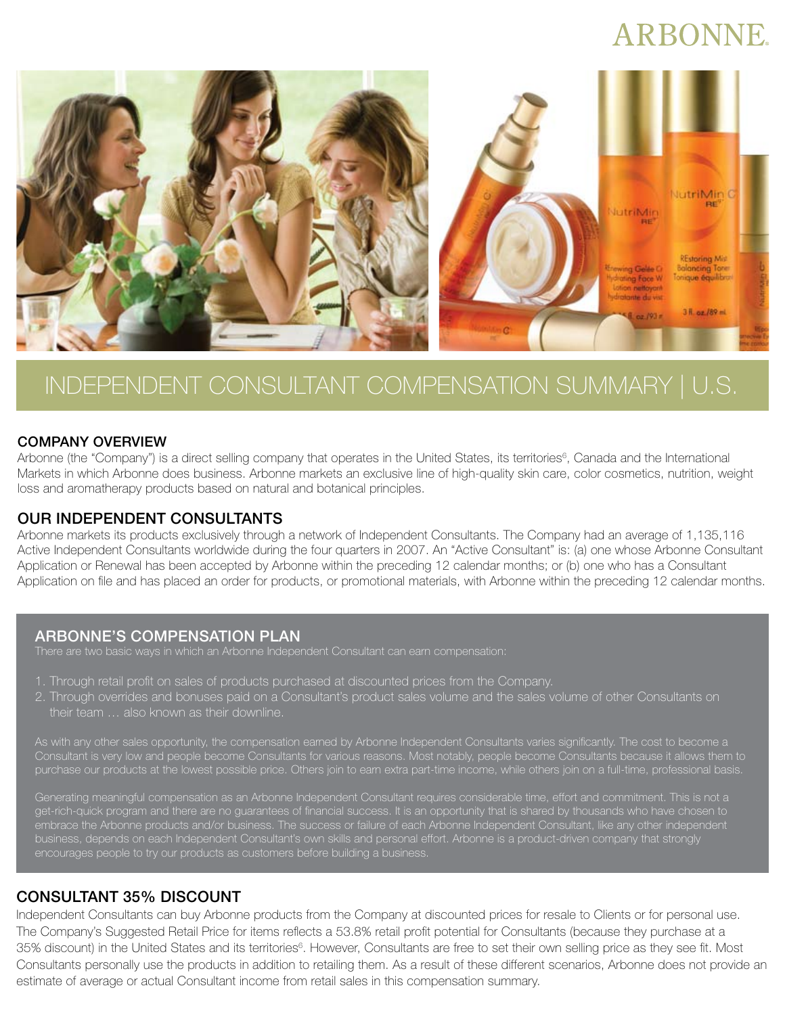# **ARBONNE**



## INDEPENDENT CONSULTANT COMPENSATION SUMMARY | U.S.

#### COMPANY OVERVIEW

Arbonne (the "Company") is a direct selling company that operates in the United States, its territories<sup>6</sup>, Canada and the International Markets in which Arbonne does business. Arbonne markets an exclusive line of high-quality skin care, color cosmetics, nutrition, weight loss and aromatherapy products based on natural and botanical principles.

#### OUR INDEPENDENT CONSULTANTS

Arbonne markets its products exclusively through a network of Independent Consultants. The Company had an average of 1,135,116 Active Independent Consultants worldwide during the four quarters in 2007. An "Active Consultant" is: (a) one whose Arbonne Consultant Application or Renewal has been accepted by Arbonne within the preceding 12 calendar months; or (b) one who has a Consultant Application on file and has placed an order for products, or promotional materials, with Arbonne within the preceding 12 calendar months.

#### ARBONNE'S COMPENSATION PLAN

- 1. Through retail profit on sales of products purchased at discounted prices from the Company.
- 2. Through overrides and bonuses paid on a Consultant's product sales volume and the sales volume of other Consultants on their team … also known as their downline.

As with any other sales opportunity, the compensation earned by Arbonne Independent Consultants varies significantly. The cost to become a nsultant is very low and people become Consultants for various reasons. Most notably, people become Consultants because it allows them to purchase our products at the lowest possible price. Others join to earn extra part-time income, while others join on a full-time, professional basis.

Generating meaningful compensation as an Arbonne Independent Consultant requires considerable time, effort and commitment. This is not a get-rich-quick program and there are no guarantees of financial success. It is an opportunity that is shared by thousands who have chosen to embrace the Arbonne products and/or business. The success or failure of each Arbonne Independent Consultant, like any other independent business, depends on each Independent Consultant's own skills and personal effort. Arbonne is a product-driven company that strongly encourages people to try our products as customers before building a business.

### CONSULTANT 35% DISCOUNT

Independent Consultants can buy Arbonne products from the Company at discounted prices for resale to Clients or for personal use. The Company's Suggested Retail Price for items reflects a 53.8% retail profit potential for Consultants (because they purchase at a 35% discount) in the United States and its territories<sup>6</sup>. However, Consultants are free to set their own selling price as they see fit. Most Consultants personally use the products in addition to retailing them. As a result of these different scenarios, Arbonne does not provide an estimate of average or actual Consultant income from retail sales in this compensation summary.